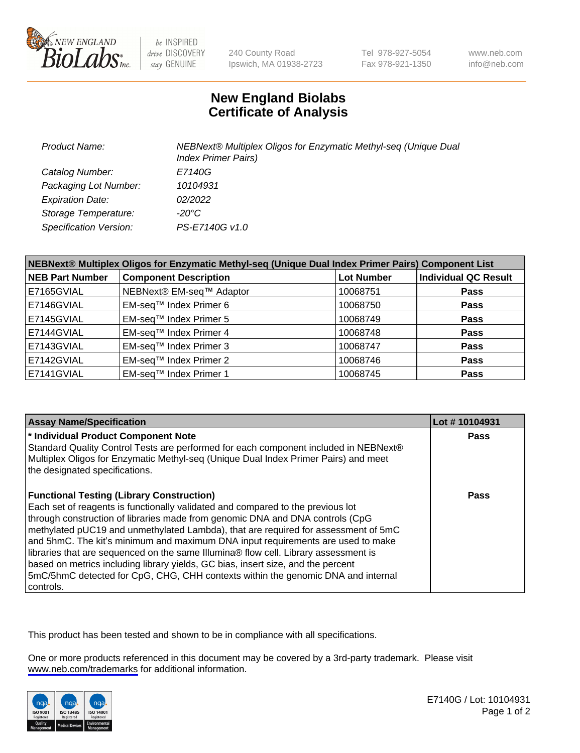

be INSPIRED drive DISCOVERY stay GENUINE

240 County Road Ipswich, MA 01938-2723 Tel 978-927-5054 Fax 978-921-1350

www.neb.com info@neb.com

## **New England Biolabs Certificate of Analysis**

| <b>Product Name:</b>          | NEBNext® Multiplex Oligos for Enzymatic Methyl-seq (Unique Dual<br><b>Index Primer Pairs)</b> |
|-------------------------------|-----------------------------------------------------------------------------------------------|
| Catalog Number:               | E7140G                                                                                        |
| Packaging Lot Number:         | 10104931                                                                                      |
| <b>Expiration Date:</b>       | 02/2022                                                                                       |
| Storage Temperature:          | -20°C                                                                                         |
| <b>Specification Version:</b> | PS-E7140G v1.0                                                                                |

| NEBNext® Multiplex Oligos for Enzymatic Methyl-seq (Unique Dual Index Primer Pairs) Component List |                              |                   |                             |  |
|----------------------------------------------------------------------------------------------------|------------------------------|-------------------|-----------------------------|--|
| <b>NEB Part Number</b>                                                                             | <b>Component Description</b> | <b>Lot Number</b> | <b>Individual QC Result</b> |  |
| E7165GVIAL                                                                                         | NEBNext® EM-seq™ Adaptor     | 10068751          | <b>Pass</b>                 |  |
| E7146GVIAL                                                                                         | EM-seq™ Index Primer 6       | 10068750          | <b>Pass</b>                 |  |
| E7145GVIAL                                                                                         | EM-seq™ Index Primer 5       | 10068749          | <b>Pass</b>                 |  |
| E7144GVIAL                                                                                         | EM-seq™ Index Primer 4       | 10068748          | <b>Pass</b>                 |  |
| E7143GVIAL                                                                                         | EM-seq™ Index Primer 3       | 10068747          | <b>Pass</b>                 |  |
| E7142GVIAL                                                                                         | EM-seq™ Index Primer 2       | 10068746          | <b>Pass</b>                 |  |
| E7141GVIAL                                                                                         | EM-seq™ Index Primer 1       | 10068745          | <b>Pass</b>                 |  |

| <b>Assay Name/Specification</b>                                                      | Lot #10104931 |
|--------------------------------------------------------------------------------------|---------------|
| * Individual Product Component Note                                                  | Pass          |
| Standard Quality Control Tests are performed for each component included in NEBNext® |               |
| Multiplex Oligos for Enzymatic Methyl-seq (Unique Dual Index Primer Pairs) and meet  |               |
| the designated specifications.                                                       |               |
| <b>Functional Testing (Library Construction)</b>                                     | Pass          |
| Each set of reagents is functionally validated and compared to the previous lot      |               |
| through construction of libraries made from genomic DNA and DNA controls (CpG        |               |
| methylated pUC19 and unmethylated Lambda), that are required for assessment of 5mC   |               |
| and 5hmC. The kit's minimum and maximum DNA input requirements are used to make      |               |
| libraries that are sequenced on the same Illumina® flow cell. Library assessment is  |               |
| based on metrics including library yields, GC bias, insert size, and the percent     |               |
| 5mC/5hmC detected for CpG, CHG, CHH contexts within the genomic DNA and internal     |               |
| controls.                                                                            |               |

This product has been tested and shown to be in compliance with all specifications.

One or more products referenced in this document may be covered by a 3rd-party trademark. Please visit <www.neb.com/trademarks>for additional information.